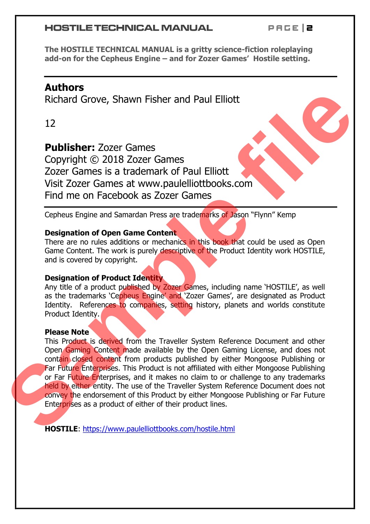#### **HOSTILE TECHNICAL MANUAL**

*P a g e | 2*

**The HOSTILE TECHNICAL MANUAL is a gritty science-fiction roleplaying add-on for the Cepheus Engine – and for Zozer Games' Hostile setting.**

# **Authors**

Richard Grove, Shawn Fisher and Paul Elliott

12

**Publisher:** Zozer Games Copyright © 2018 Zozer Games Zozer Games is a trademark of Paul Elliott Visit Zozer Games at www.paulelliottbooks.com Find me on Facebook as Zozer Games

Cepheus Engine and Samardan Press are trademarks of Jason "Flynn" Kemp

#### **Designation of Open Game Content**

There are no rules additions or mechanics in this book that could be used as Open Game Content. The work is purely descriptive of the Product Identity work HOSTILE, and is covered by copyright.

### **Designation of Product Identity**

Any title of a product published by Zozer Games, including name 'HOSTILE', as well as the trademarks 'Cepheus Engine' and 'Zozer Games', are designated as Product Identity. References to companies, setting history, planets and worlds constitute Product Identity.

#### **Please Note**

This Product is derived from the Traveller System Reference Document and other Open Gaming Content made available by the Open Gaming License, and does not contain closed content from products published by either Mongoose Publishing or Far Future Enterprises. This Product is not affiliated with either Mongoose Publishing or Far Future Enterprises, and it makes no claim to or challenge to any trademarks held by either entity. The use of the Traveller System Reference Document does not convey the endorsement of this Product by either Mongoose Publishing or Far Future Enterprises as a product of either of their product lines. **Richard Grove, Shawn Fisher and Paul Elliott**<br> **Skichard Grove, Shawn Fisher and Paul Elliott**<br> **Stick Zozer Games**<br> **Sover Cames is a trademark of Paul Elliottic Stick Zozer Games Sover Cames is a trademark of Paul Ellio** 

**HOSTILE**: https://www.paulelliottbooks.com/hostile.html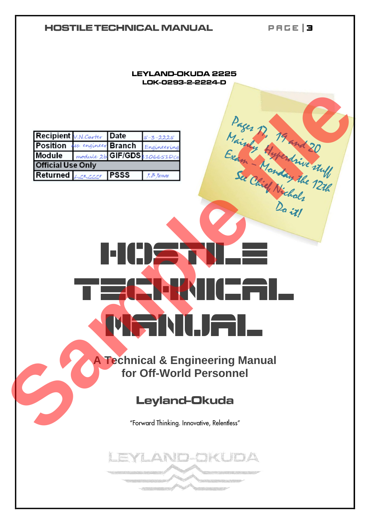# *P a g e | 3* **HOSTILE TECHNICAL MANUAL LEYLAND-OKUDA 2225** LOK-0293-2-2224-D Recipient *Michael Branch Explicit Date*<br>
Module *module* is **Sample filerness**<br>
Sample files only<br>
Sample files only<br>
Sample files only<br>
Sample files only<br>
Sample files only<br>
Sample files only<br>
David:<br>
David<br>
David<br>
Capta hostile Te**chnica** Manul.Jal **A Technical & Engineering Manual for Off-World Personnel** EYLAND-OKUDA **Basic**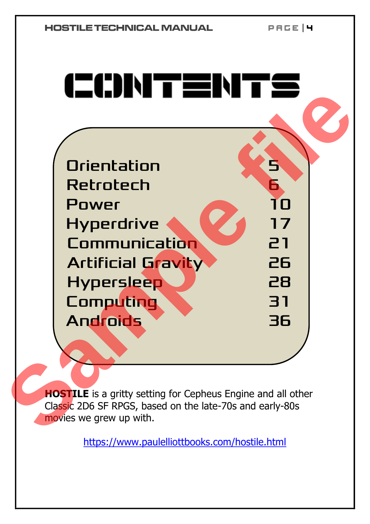*P a g e | 4*



**HOSTILE** is a gritty setting for Cepheus Engine and all other Classic 2D6 SF RPGS, based on the late-70s and early-80s movies we grew up with.

https://www.paulelliottbooks.com/hostile.html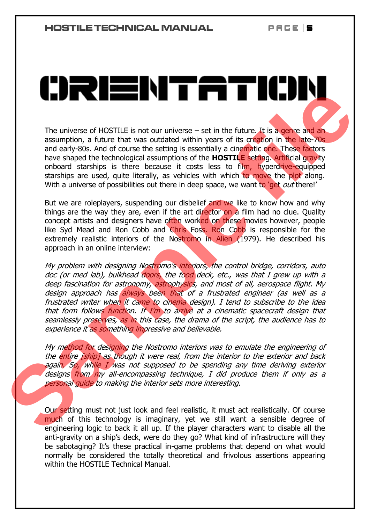*P a g e | 5*

The universe of HOSTILE is not our universe  $-$  set in the future. It is a genre and an assumption, a future that was outdated within years of its creation in the late-70s and early-80s. And of course the setting is essentially a cinematic one. These factors have shaped the technological assumptions of the **HOSTILE** setting. Artificial gravity onboard starships is there because it costs less to film, hyperdrive-equipped starships are used, quite literally, as vehicles with which to move the plot along. With a universe of possibilities out there in deep space, we want to 'get *out* there!'

But we are roleplayers, suspending our disbelief and we like to know how and why things are the way they are, even if the art director on a film had no clue. Quality concept artists and designers have often worked on these movies however, people like Syd Mead and Ron Cobb and Chris Foss. Ron Cobb is responsible for the extremely realistic interiors of the Nostromo in Alien (1979). He described his approach in an online interview:

My problem with designing Nostromo's interiors, the control bridge, corridors, auto doc (or med lab), bulkhead doors, the food deck, etc., was that I grew up with a deep fascination for astronomy, astrophysics, and most of all, aerospace flight. My design approach has always been that of a frustrated engineer (as well as a frustrated writer when it came to cinema design). I tend to subscribe to the idea that form follows function. If I'm to arrive at a cinematic spacecraft design that seamlessly preserves, as in this case, the drama of the script, the audience has to experience it as something impressive and believable. The universe of HOSTILE is not our universe – set in the future. It is a gente and an assumption, a future that was outdated within years of its creation in the late-76g and early-80s And of course the setting is essential

My method for designing the Nostromo interiors was to emulate the engineering of the entire [ship] as though it were real, from the interior to the exterior and back again. So, while I was not supposed to be spending any time deriving exterior designs from my all-encompassing technique, I did produce them if only as a personal guide to making the interior sets more interesting.

Our setting must not just look and feel realistic, it must act realistically. Of course much of this technology is imaginary, yet we still want a sensible degree of engineering logic to back it all up. If the player characters want to disable all the anti-gravity on a ship's deck, were do they go? What kind of infrastructure will they be sabotaging? It's these practical in-game problems that depend on what would normally be considered the totally theoretical and frivolous assertions appearing within the HOSTILE Technical Manual.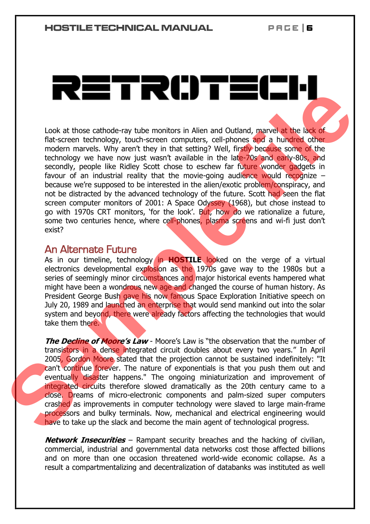Look at those cathode-ray tube monitors in Alien and Outland, marvel at the lack of flat-screen technology, touch-screen computers, cell-phones and a hundred other modern marvels. Why aren't they in that setting? Well, firstly because some of the technology we have now just wasn't available in the late-70s and early-80s, and secondly, people like Ridley Scott chose to eschew far future wonder gadgets in favour of an industrial reality that the movie-going audience would recognize  $$ because we're supposed to be interested in the alien/exotic problem/conspiracy, and not be distracted by the advanced technology of the future. Scott had seen the flat screen computer monitors of 2001: A Space Odyssey (1968), but chose instead to go with 1970s CRT monitors, 'for the look'. But, how do we rationalize a future, some two centuries hence, where cell-phones, plasma screens and wi-fi just don't exist? **Example 19 and 19 and 19 and 19 and 19 and 19 and 19 and 19 and 19 and 19 and 19 and 19 and 19 and 19 and 19 and 19 and 19 and 19 and 19 and 19 and 19 and 19 and 19 and 19 and 19 and 19 and 19 and 19 and 19 and 19 and 19** 

## An Alternate Future

As in our timeline, technology in **HOSTILE** looked on the verge of a virtual electronics developmental explosion as the 1970s gave way to the 1980s but a series of seemingly minor circumstances and major historical events hampered what might have been a wondrous new age and changed the course of human history. As President George Bush gave his now famous Space Exploration Initiative speech on July 20, 1989 and launched an enterprise that would send mankind out into the solar system and beyond, there were already factors affecting the technologies that would take them there.

**The Decline of Moore's Law** - Moore's Law is "the observation that the number of transistors in a dense integrated circuit doubles about every two years." In April 2005, Gordon Moore stated that the projection cannot be sustained indefinitely: "It can't continue forever. The nature of exponentials is that you push them out and eventually disaster happens." The ongoing miniaturization and improvement of integrated circuits therefore slowed dramatically as the 20th century came to a close. Dreams of micro-electronic components and palm-sized super computers crashed as improvements in computer technology were slaved to large main-frame processors and bulky terminals. Now, mechanical and electrical engineering would have to take up the slack and become the main agent of technological progress.

**Network Insecurities** – Rampant security breaches and the hacking of civilian, commercial, industrial and governmental data networks cost those affected billions and on more than one occasion threatened world-wide economic collapse. As a result a compartmentalizing and decentralization of databanks was instituted as well